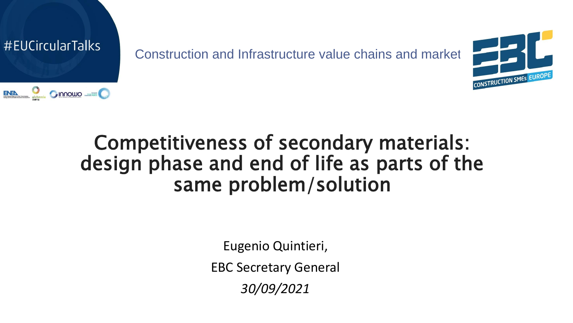



# Competitiveness of secondary materials: design phase and end of life as parts of the same problem/solution

Eugenio Quintieri,

EBC Secretary General

*30/09/2021*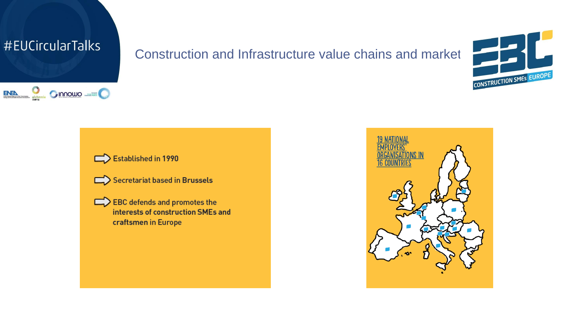



Established in 1990

Secretariat based in Brussels

 $\Box$  EBC defends and promotes the interests of construction SMEs and craftsmen in Europe

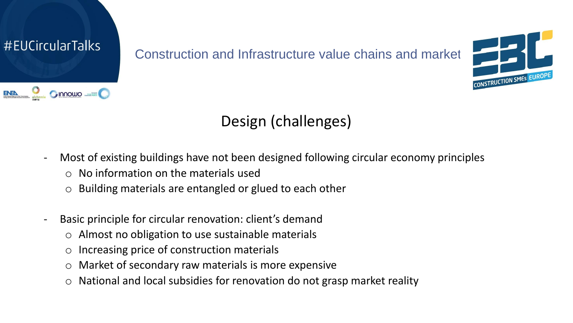



# Design (challenges)

- Most of existing buildings have not been designed following circular economy principles
	- $\circ$  No information on the materials used
	- o Building materials are entangled or glued to each other
- Basic principle for circular renovation: client's demand
	- o Almost no obligation to use sustainable materials
	- o Increasing price of construction materials
	- o Market of secondary raw materials is more expensive
	- o National and local subsidies for renovation do not grasp market reality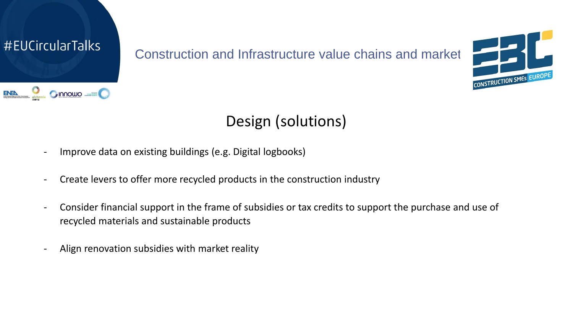



# Design (solutions)

- Improve data on existing buildings (e.g. Digital logbooks)
- Create levers to offer more recycled products in the construction industry
- Consider financial support in the frame of subsidies or tax credits to support the purchase and use of recycled materials and sustainable products
- Align renovation subsidies with market reality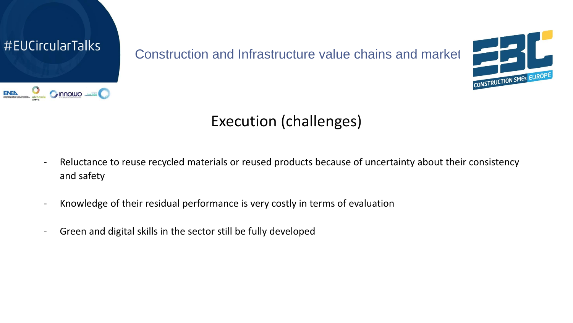



# Execution (challenges)

- Reluctance to reuse recycled materials or reused products because of uncertainty about their consistency and safety
- Knowledge of their residual performance is very costly in terms of evaluation
- Green and digital skills in the sector still be fully developed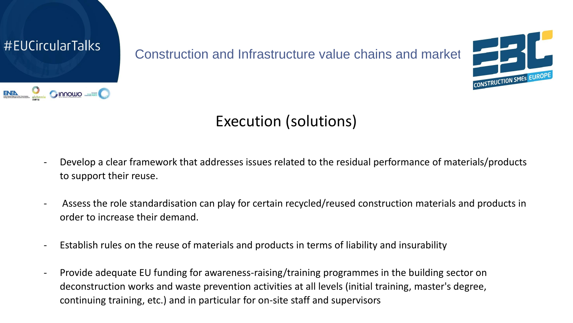



#### Execution (solutions)

- Develop a clear framework that addresses issues related to the residual performance of materials/products to support their reuse.
- Assess the role standardisation can play for certain recycled/reused construction materials and products in order to increase their demand.
- Establish rules on the reuse of materials and products in terms of liability and insurability
- Provide adequate EU funding for awareness-raising/training programmes in the building sector on deconstruction works and waste prevention activities at all levels (initial training, master's degree, continuing training, etc.) and in particular for on-site staff and supervisors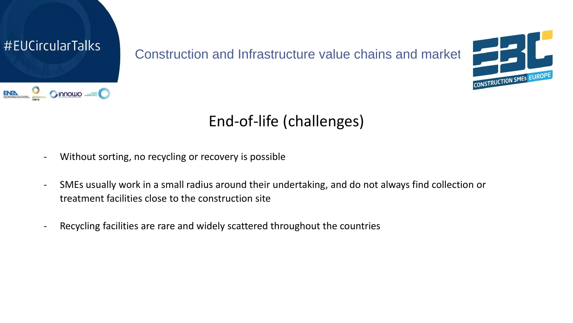



# End-of-life (challenges)

- Without sorting, no recycling or recovery is possible
- SMEs usually work in a small radius around their undertaking, and do not always find collection or treatment facilities close to the construction site
- Recycling facilities are rare and widely scattered throughout the countries